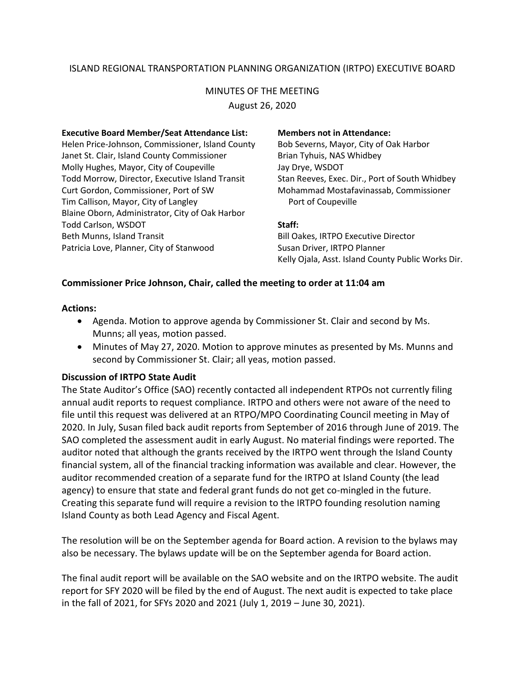# ISLAND REGIONAL TRANSPORTATION PLANNING ORGANIZATION (IRTPO) EXECUTIVE BOARD

# MINUTES OF THE MEETING

August 26, 2020

#### **Executive Board Member/Seat Attendance List: Members not in Attendance:**

Helen Price-Johnson, Commissioner, Island County Bob Severns, Mayor, City of Oak Harbor Janet St. Clair, Island County Commissioner **Brian Tyhuis, NAS Whidbey** Molly Hughes, Mayor, City of Coupeville Jay Drye, WSDOT Todd Morrow, Director, Executive Island Transit Stan Reeves, Exec. Dir., Port of South Whidbey Curt Gordon, Commissioner, Port of SW Mohammad Mostafavinassab, Commissioner Tim Callison, Mayor, City of Langley **Port of Coupeville** Blaine Oborn, Administrator, City of Oak Harbor Todd Carlson, WSDOT **Staff:** Beth Munns, Island Transit **Bill Oakes, IRTPO Executive Director** Patricia Love, Planner, City of Stanwood Susan Driver, IRTPO Planner

Kelly Ojala, Asst. Island County Public Works Dir.

#### **Commissioner Price Johnson, Chair, called the meeting to order at 11:04 am**

#### **Actions:**

- Agenda. Motion to approve agenda by Commissioner St. Clair and second by Ms. Munns; all yeas, motion passed.
- Minutes of May 27, 2020. Motion to approve minutes as presented by Ms. Munns and second by Commissioner St. Clair; all yeas, motion passed.

#### **Discussion of IRTPO State Audit**

The State Auditor's Office (SAO) recently contacted all independent RTPOs not currently filing annual audit reports to request compliance. IRTPO and others were not aware of the need to file until this request was delivered at an RTPO/MPO Coordinating Council meeting in May of 2020. In July, Susan filed back audit reports from September of 2016 through June of 2019. The SAO completed the assessment audit in early August. No material findings were reported. The auditor noted that although the grants received by the IRTPO went through the Island County financial system, all of the financial tracking information was available and clear. However, the auditor recommended creation of a separate fund for the IRTPO at Island County (the lead agency) to ensure that state and federal grant funds do not get co-mingled in the future. Creating this separate fund will require a revision to the IRTPO founding resolution naming Island County as both Lead Agency and Fiscal Agent.

The resolution will be on the September agenda for Board action. A revision to the bylaws may also be necessary. The bylaws update will be on the September agenda for Board action.

The final audit report will be available on the SAO website and on the IRTPO website. The audit report for SFY 2020 will be filed by the end of August. The next audit is expected to take place in the fall of 2021, for SFYs 2020 and 2021 (July 1, 2019 – June 30, 2021).